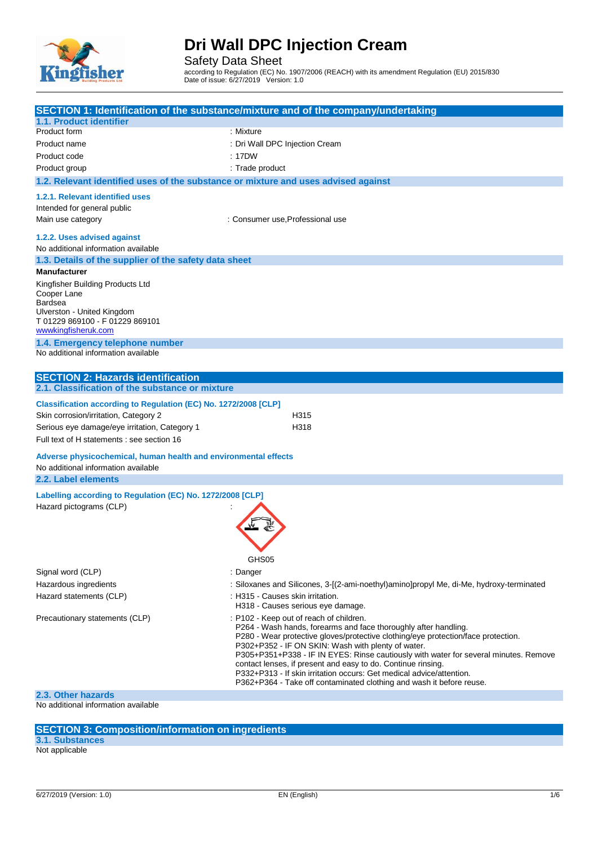

Safety Data Sheet

according to Regulation (EC) No. 1907/2006 (REACH) with its amendment Regulation (EU) 2015/830 Date of issue: 6/27/2019 Version: 1.0

|                                                                                                                                                           | SECTION 1: Identification of the substance/mixture and of the company/undertaking                                                                                                                                                                                                                                                                                                                                                                                                                                                                             |
|-----------------------------------------------------------------------------------------------------------------------------------------------------------|---------------------------------------------------------------------------------------------------------------------------------------------------------------------------------------------------------------------------------------------------------------------------------------------------------------------------------------------------------------------------------------------------------------------------------------------------------------------------------------------------------------------------------------------------------------|
| 1.1. Product identifier                                                                                                                                   |                                                                                                                                                                                                                                                                                                                                                                                                                                                                                                                                                               |
| Product form                                                                                                                                              | : Mixture                                                                                                                                                                                                                                                                                                                                                                                                                                                                                                                                                     |
| Product name                                                                                                                                              | : Dri Wall DPC Injection Cream                                                                                                                                                                                                                                                                                                                                                                                                                                                                                                                                |
| Product code                                                                                                                                              | : 17DW                                                                                                                                                                                                                                                                                                                                                                                                                                                                                                                                                        |
| Product group                                                                                                                                             | : Trade product                                                                                                                                                                                                                                                                                                                                                                                                                                                                                                                                               |
| 1.2. Relevant identified uses of the substance or mixture and uses advised against                                                                        |                                                                                                                                                                                                                                                                                                                                                                                                                                                                                                                                                               |
| 1.2.1. Relevant identified uses                                                                                                                           |                                                                                                                                                                                                                                                                                                                                                                                                                                                                                                                                                               |
| Intended for general public                                                                                                                               |                                                                                                                                                                                                                                                                                                                                                                                                                                                                                                                                                               |
| Main use category                                                                                                                                         | : Consumer use, Professional use                                                                                                                                                                                                                                                                                                                                                                                                                                                                                                                              |
| 1.2.2. Uses advised against                                                                                                                               |                                                                                                                                                                                                                                                                                                                                                                                                                                                                                                                                                               |
| No additional information available                                                                                                                       |                                                                                                                                                                                                                                                                                                                                                                                                                                                                                                                                                               |
| 1.3. Details of the supplier of the safety data sheet                                                                                                     |                                                                                                                                                                                                                                                                                                                                                                                                                                                                                                                                                               |
| <b>Manufacturer</b>                                                                                                                                       |                                                                                                                                                                                                                                                                                                                                                                                                                                                                                                                                                               |
| Kingfisher Building Products Ltd<br>Cooper Lane<br><b>Bardsea</b><br>Ulverston - United Kingdom<br>T 01229 869100 - F 01229 869101<br>wwwkingfisheruk.com |                                                                                                                                                                                                                                                                                                                                                                                                                                                                                                                                                               |
| 1.4. Emergency telephone number                                                                                                                           |                                                                                                                                                                                                                                                                                                                                                                                                                                                                                                                                                               |
| No additional information available                                                                                                                       |                                                                                                                                                                                                                                                                                                                                                                                                                                                                                                                                                               |
|                                                                                                                                                           |                                                                                                                                                                                                                                                                                                                                                                                                                                                                                                                                                               |
| <b>SECTION 2: Hazards identification</b>                                                                                                                  |                                                                                                                                                                                                                                                                                                                                                                                                                                                                                                                                                               |
| 2.1. Classification of the substance or mixture                                                                                                           |                                                                                                                                                                                                                                                                                                                                                                                                                                                                                                                                                               |
| Classification according to Regulation (EC) No. 1272/2008 [CLP]                                                                                           |                                                                                                                                                                                                                                                                                                                                                                                                                                                                                                                                                               |
| Skin corrosion/irritation, Category 2                                                                                                                     | H315                                                                                                                                                                                                                                                                                                                                                                                                                                                                                                                                                          |
| Serious eye damage/eye irritation, Category 1                                                                                                             | H318                                                                                                                                                                                                                                                                                                                                                                                                                                                                                                                                                          |
| Full text of H statements : see section 16                                                                                                                |                                                                                                                                                                                                                                                                                                                                                                                                                                                                                                                                                               |
| Adverse physicochemical, human health and environmental effects<br>No additional information available                                                    |                                                                                                                                                                                                                                                                                                                                                                                                                                                                                                                                                               |
| 2.2. Label elements                                                                                                                                       |                                                                                                                                                                                                                                                                                                                                                                                                                                                                                                                                                               |
| Labelling according to Regulation (EC) No. 1272/2008 [CLP]<br>Hazard pictograms (CLP)                                                                     | GHS05                                                                                                                                                                                                                                                                                                                                                                                                                                                                                                                                                         |
| Signal word (CLP)                                                                                                                                         | : Danger                                                                                                                                                                                                                                                                                                                                                                                                                                                                                                                                                      |
| Hazardous ingredients                                                                                                                                     | : Siloxanes and Silicones, 3-[(2-ami-noethyl)amino]propyl Me, di-Me, hydroxy-terminated                                                                                                                                                                                                                                                                                                                                                                                                                                                                       |
| Hazard statements (CLP)                                                                                                                                   | : H315 - Causes skin irritation.<br>H318 - Causes serious eye damage.                                                                                                                                                                                                                                                                                                                                                                                                                                                                                         |
| Precautionary statements (CLP)                                                                                                                            | : P102 - Keep out of reach of children.<br>P264 - Wash hands, forearms and face thoroughly after handling.<br>P280 - Wear protective gloves/protective clothing/eye protection/face protection.<br>P302+P352 - IF ON SKIN: Wash with plenty of water.<br>P305+P351+P338 - IF IN EYES: Rinse cautiously with water for several minutes. Remove<br>contact lenses, if present and easy to do. Continue rinsing.<br>P332+P313 - If skin irritation occurs: Get medical advice/attention.<br>P362+P364 - Take off contaminated clothing and wash it before reuse. |
| 2.3. Other hazards                                                                                                                                        |                                                                                                                                                                                                                                                                                                                                                                                                                                                                                                                                                               |
| No odditional information quailable                                                                                                                       |                                                                                                                                                                                                                                                                                                                                                                                                                                                                                                                                                               |

No additional information available

**SECTION 3: Composition/information on ingredients**

**3.1. Substances** Not applicable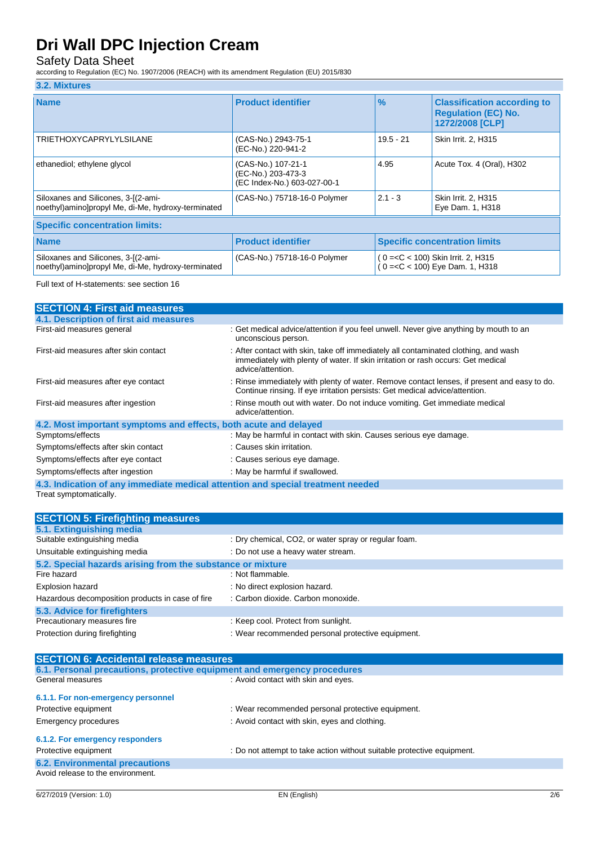## Safety Data Sheet

according to Regulation (EC) No. 1907/2006 (REACH) with its amendment Regulation (EU) 2015/830

#### **3.2. Mixtures**

| <b>Name</b>                                                                               | <b>Product identifier</b>                                               | $\frac{9}{6}$ | <b>Classification according to</b><br><b>Regulation (EC) No.</b><br>1272/2008 [CLP]                |
|-------------------------------------------------------------------------------------------|-------------------------------------------------------------------------|---------------|----------------------------------------------------------------------------------------------------|
| <b>TRIETHOXYCAPRYLYLSILANE</b>                                                            | (CAS-No.) 2943-75-1<br>(EC-No.) 220-941-2                               | $19.5 - 21$   | Skin Irrit. 2, H315                                                                                |
| ethanediol; ethylene glycol                                                               | (CAS-No.) 107-21-1<br>(EC-No.) 203-473-3<br>(EC Index-No.) 603-027-00-1 | 4.95          | Acute Tox. 4 (Oral), H302                                                                          |
| Siloxanes and Silicones, 3-[(2-ami-<br>noethyl)amino]propyl Me, di-Me, hydroxy-terminated | (CAS-No.) 75718-16-0 Polymer                                            | $2.1 - 3$     | Skin Irrit. 2, H315<br>Eye Dam. 1, H318                                                            |
| <b>Specific concentration limits:</b>                                                     |                                                                         |               |                                                                                                    |
| <b>Name</b>                                                                               | <b>Product identifier</b>                                               |               | <b>Specific concentration limits</b>                                                               |
| Siloxanes and Silicones, 3-[(2-ami-<br>noethyl)amino]propyl Me, di-Me, hydroxy-terminated | (CAS-No.) 75718-16-0 Polymer                                            |               | (0 = < C < 100) Skin Irrit. 2, H315<br>0= <c 1,="" 100)="" <="" dam.="" eye="" h318<="" td=""></c> |

Full text of H-statements: see section 16

| <b>SECTION 4: First aid measures</b>                             |                                                                                                                                                                                              |  |  |
|------------------------------------------------------------------|----------------------------------------------------------------------------------------------------------------------------------------------------------------------------------------------|--|--|
| 4.1. Description of first aid measures                           |                                                                                                                                                                                              |  |  |
| First-aid measures general                                       | : Get medical advice/attention if you feel unwell. Never give anything by mouth to an<br>unconscious person.                                                                                 |  |  |
| First-aid measures after skin contact                            | : After contact with skin, take off immediately all contaminated clothing, and wash<br>immediately with plenty of water. If skin irritation or rash occurs: Get medical<br>advice/attention. |  |  |
| First-aid measures after eye contact                             | : Rinse immediately with plenty of water. Remove contact lenses, if present and easy to do.<br>Continue rinsing. If eye irritation persists: Get medical advice/attention.                   |  |  |
| First-aid measures after ingestion                               | : Rinse mouth out with water. Do not induce vomiting. Get immediate medical<br>advice/attention.                                                                                             |  |  |
| 4.2. Most important symptoms and effects, both acute and delayed |                                                                                                                                                                                              |  |  |
| Symptoms/effects                                                 | : May be harmful in contact with skin. Causes serious eye damage.                                                                                                                            |  |  |
| Symptoms/effects after skin contact                              | : Causes skin irritation.                                                                                                                                                                    |  |  |
| Symptoms/effects after eye contact                               | : Causes serious eye damage.                                                                                                                                                                 |  |  |
| Symptoms/effects after ingestion                                 | : May be harmful if swallowed.                                                                                                                                                               |  |  |
|                                                                  | 4.3. Indication of any immediate medical attention and special treatment needed                                                                                                              |  |  |
| Treat symptomatically.                                           |                                                                                                                                                                                              |  |  |

| <b>SECTION 5: Firefighting measures</b>                                  |                                                      |
|--------------------------------------------------------------------------|------------------------------------------------------|
| 5.1. Extinguishing media                                                 |                                                      |
| Suitable extinguishing media                                             | : Dry chemical, CO2, or water spray or regular foam. |
| Unsuitable extinguishing media                                           | : Do not use a heavy water stream.                   |
| 5.2. Special hazards arising from the substance or mixture               |                                                      |
| Fire hazard                                                              | : Not flammable.                                     |
| <b>Explosion hazard</b>                                                  | : No direct explosion hazard.                        |
| Hazardous decomposition products in case of fire                         | : Carbon dioxide. Carbon monoxide.                   |
| 5.3. Advice for firefighters                                             |                                                      |
| Precautionary measures fire                                              | : Keep cool. Protect from sunlight.                  |
| Protection during firefighting                                           | : Wear recommended personal protective equipment.    |
| <b>SECTION 6: Accidental release measures</b>                            |                                                      |
| 6.1. Personal precautions, protective equipment and emergency procedures |                                                      |
| General measures                                                         | : Avoid contact with skin and eyes.                  |
| 6.1.1. For non-emergency personnel                                       |                                                      |
| Protective equipment                                                     | : Wear recommended personal protective equipment.    |
| Emergency procedures                                                     | : Avoid contact with skin, eyes and clothing.        |
| 6.1.2. For emergency responders                                          |                                                      |

## Protective equipment **interval in the controller of the controller controller controller controller** : Do not attempt to take action without suitable protective equipment.

**6.2. Environmental precautions** Avoid release to the environment.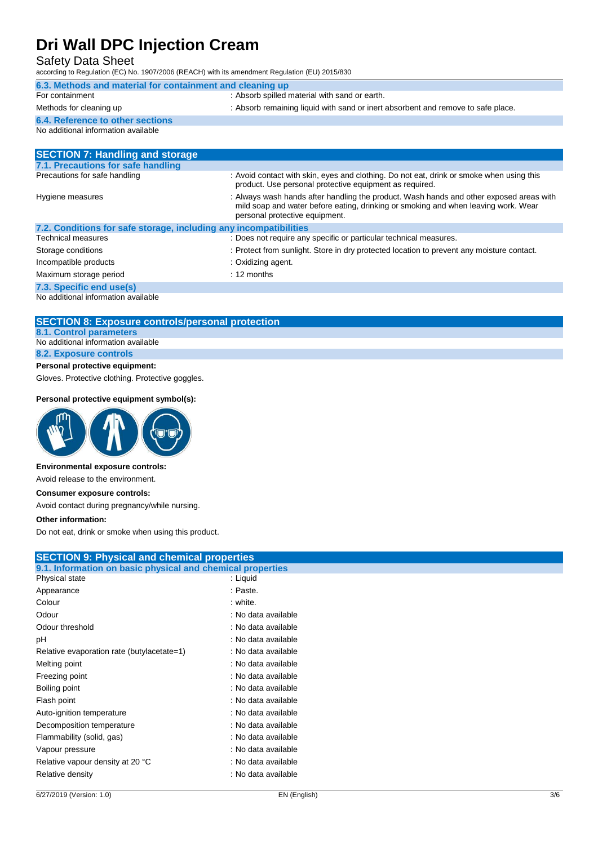Safety Data Sheet

according to Regulation (EC) No. 1907/2006 (REACH) with its amendment Regulation (EU) 2015/830

| 6.3. Methods and material for containment and cleaning up |                                                                                  |  |
|-----------------------------------------------------------|----------------------------------------------------------------------------------|--|
| For containment                                           | : Absorb spilled material with sand or earth.                                    |  |
| Methods for cleaning up                                   | : Absorb remaining liquid with sand or inert absorbent and remove to safe place. |  |
| 6.4. Reference to other sections                          |                                                                                  |  |
| No additional information available                       |                                                                                  |  |
|                                                           |                                                                                  |  |

| <b>SECTION 7: Handling and storage</b>                            |                                                                                                                                                                                                                 |  |
|-------------------------------------------------------------------|-----------------------------------------------------------------------------------------------------------------------------------------------------------------------------------------------------------------|--|
| 7.1. Precautions for safe handling                                |                                                                                                                                                                                                                 |  |
| Precautions for safe handling                                     | : Avoid contact with skin, eyes and clothing. Do not eat, drink or smoke when using this<br>product. Use personal protective equipment as required.                                                             |  |
| Hygiene measures                                                  | : Always wash hands after handling the product. Wash hands and other exposed areas with<br>mild soap and water before eating, drinking or smoking and when leaving work. Wear<br>personal protective equipment. |  |
| 7.2. Conditions for safe storage, including any incompatibilities |                                                                                                                                                                                                                 |  |
| Technical measures                                                | : Does not require any specific or particular technical measures.                                                                                                                                               |  |
| Storage conditions                                                | : Protect from sunlight. Store in dry protected location to prevent any moisture contact.                                                                                                                       |  |
| Incompatible products                                             | : Oxidizing agent.                                                                                                                                                                                              |  |
| Maximum storage period                                            | $: 12$ months                                                                                                                                                                                                   |  |
| 7.3. Specific end use(s)                                          |                                                                                                                                                                                                                 |  |
| No additional information available                               |                                                                                                                                                                                                                 |  |

**SECTION 8: Exposure controls/personal protection 8.1. Control parameters** No additional information available

**8.2. Exposure controls**

### **Personal protective equipment:**

Gloves. Protective clothing. Protective goggles.

#### **Personal protective equipment symbol(s):**



### **Environmental exposure controls:**

Avoid release to the environment.

### **Consumer exposure controls:**

Avoid contact during pregnancy/while nursing.

### **Other information:**

Do not eat, drink or smoke when using this product.

|                                                            | <b>SECTION 9: Physical and chemical properties</b> |  |  |
|------------------------------------------------------------|----------------------------------------------------|--|--|
| 9.1. Information on basic physical and chemical properties |                                                    |  |  |
| Physical state                                             | : Liquid                                           |  |  |
| Appearance                                                 | : Paste.                                           |  |  |
| Colour                                                     | : white.                                           |  |  |
| Odour                                                      | : No data available                                |  |  |
| Odour threshold                                            | : No data available                                |  |  |
| рH                                                         | : No data available                                |  |  |
| Relative evaporation rate (butylacetate=1)                 | : No data available                                |  |  |
| Melting point                                              | : No data available                                |  |  |
| Freezing point                                             | : No data available                                |  |  |
| Boiling point                                              | : No data available                                |  |  |
| Flash point                                                | : No data available                                |  |  |
| Auto-ignition temperature                                  | : No data available                                |  |  |
| Decomposition temperature                                  | : No data available                                |  |  |
| Flammability (solid, gas)                                  | : No data available                                |  |  |
| Vapour pressure                                            | : No data available                                |  |  |
| Relative vapour density at 20 °C                           | : No data available                                |  |  |
| Relative density                                           | : No data available                                |  |  |
|                                                            |                                                    |  |  |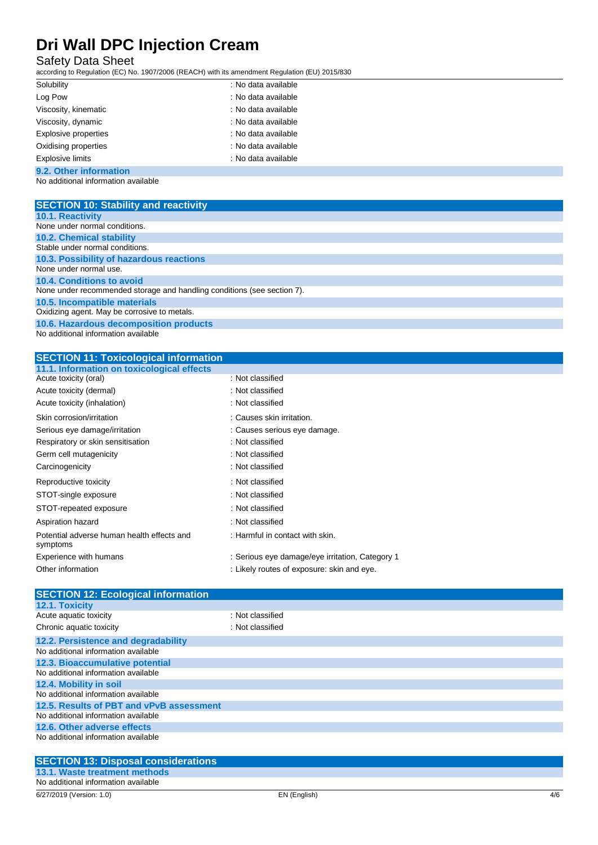## Safety Data Sheet

according to Regulation (EC) No. 1907/2006 (REACH) with its amendment Regulation (EU) 2015/830

| Solubility                  | : No data available |
|-----------------------------|---------------------|
| Log Pow                     | : No data available |
| Viscosity, kinematic        | : No data available |
| Viscosity, dynamic          | : No data available |
| <b>Explosive properties</b> | : No data available |
| Oxidising properties        | : No data available |
| <b>Explosive limits</b>     | : No data available |
|                             |                     |

## **9.2. Other information**

No additional information available

| <b>SECTION 10: Stability and reactivity</b>                             |
|-------------------------------------------------------------------------|
| <b>10.1. Reactivity</b>                                                 |
| None under normal conditions.                                           |
| <b>10.2. Chemical stability</b>                                         |
| Stable under normal conditions.                                         |
| 10.3. Possibility of hazardous reactions                                |
| None under normal use.                                                  |
| 10.4. Conditions to avoid                                               |
| None under recommended storage and handling conditions (see section 7). |
| 10.5. Incompatible materials                                            |
| Oxidizing agent. May be corrosive to metals.                            |
| 10.6. Hazardous decomposition products                                  |
| No additional information quailable                                     |

#### No additional information available

|  | <b>SECTION 11: Toxicological information</b> |  |  |
|--|----------------------------------------------|--|--|
|--|----------------------------------------------|--|--|

| 11.1. Information on toxicological effects             |                                                 |
|--------------------------------------------------------|-------------------------------------------------|
| Acute toxicity (oral)                                  | : Not classified                                |
| Acute toxicity (dermal)                                | : Not classified                                |
| Acute toxicity (inhalation)                            | : Not classified                                |
| Skin corrosion/irritation                              | : Causes skin irritation.                       |
| Serious eye damage/irritation                          | : Causes serious eye damage.                    |
| Respiratory or skin sensitisation                      | : Not classified                                |
| Germ cell mutagenicity                                 | : Not classified                                |
| Carcinogenicity                                        | : Not classified                                |
| Reproductive toxicity                                  | : Not classified                                |
| STOT-single exposure                                   | : Not classified                                |
| STOT-repeated exposure                                 | : Not classified                                |
| Aspiration hazard                                      | : Not classified                                |
| Potential adverse human health effects and<br>symptoms | : Harmful in contact with skin.                 |
| Experience with humans                                 | : Serious eye damage/eye irritation, Category 1 |
| Other information                                      | : Likely routes of exposure: skin and eye.      |
|                                                        |                                                 |

| <b>SECTION 12: Ecological information</b> |                  |
|-------------------------------------------|------------------|
| 12.1. Toxicity                            |                  |
| Acute aquatic toxicity                    | : Not classified |
| Chronic aquatic toxicity                  | : Not classified |
| 12.2. Persistence and degradability       |                  |
| No additional information available       |                  |
| 12.3. Bioaccumulative potential           |                  |
| No additional information available       |                  |
| 12.4. Mobility in soil                    |                  |
| No additional information available       |                  |
| 12.5. Results of PBT and vPvB assessment  |                  |
| No additional information available       |                  |
| 12.6. Other adverse effects               |                  |
| No additional information available       |                  |
|                                           |                  |

| <b>SECTION 13: Disposal considerations</b> |
|--------------------------------------------|
| 13.1. Waste treatment methods              |
| No additional information available        |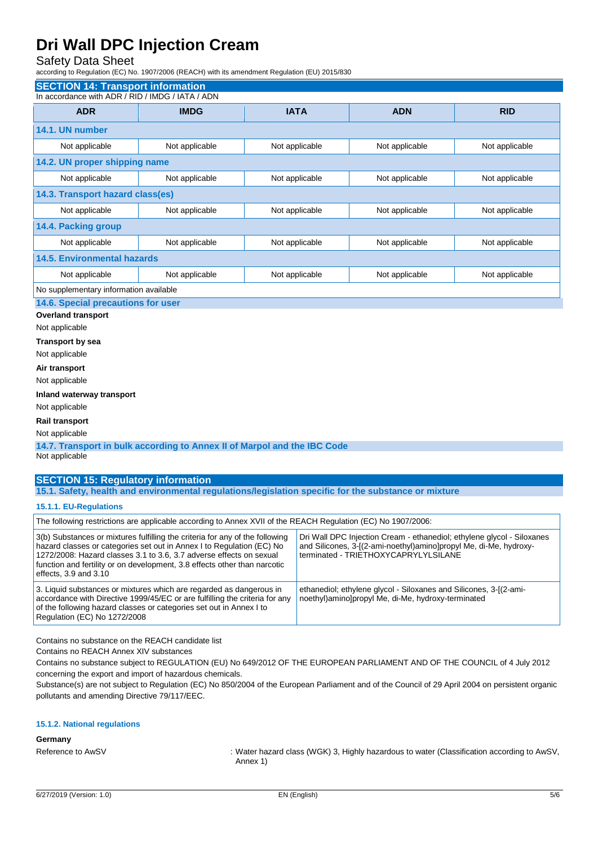## Safety Data Sheet

according to Regulation (EC) No. 1907/2006 (REACH) with its amendment Regulation (EU) 2015/830

| <b>SECTION 14: Transport information</b>                                                   |                |                |                |                |
|--------------------------------------------------------------------------------------------|----------------|----------------|----------------|----------------|
| In accordance with ADR / RID / IMDG / IATA / ADN                                           |                |                |                |                |
| <b>ADR</b>                                                                                 | <b>IMDG</b>    | <b>IATA</b>    | <b>ADN</b>     | <b>RID</b>     |
| 14.1. UN number                                                                            |                |                |                |                |
| Not applicable                                                                             | Not applicable | Not applicable | Not applicable | Not applicable |
| 14.2. UN proper shipping name                                                              |                |                |                |                |
| Not applicable                                                                             | Not applicable | Not applicable | Not applicable | Not applicable |
| 14.3. Transport hazard class(es)                                                           |                |                |                |                |
| Not applicable                                                                             | Not applicable | Not applicable | Not applicable | Not applicable |
| 14.4. Packing group                                                                        |                |                |                |                |
| Not applicable                                                                             | Not applicable | Not applicable | Not applicable | Not applicable |
| <b>14.5. Environmental hazards</b>                                                         |                |                |                |                |
| Not applicable                                                                             | Not applicable | Not applicable | Not applicable | Not applicable |
| No supplementary information available                                                     |                |                |                |                |
| 14.6. Special precautions for user<br><b>Overland transport</b>                            |                |                |                |                |
| Not applicable                                                                             |                |                |                |                |
| <b>Transport by sea</b>                                                                    |                |                |                |                |
| Not applicable                                                                             |                |                |                |                |
| Air transport                                                                              |                |                |                |                |
| Not applicable                                                                             |                |                |                |                |
| Inland waterway transport                                                                  |                |                |                |                |
| Not applicable                                                                             |                |                |                |                |
| Rail transport                                                                             |                |                |                |                |
| Not applicable                                                                             |                |                |                |                |
| 14.7. Transport in bulk according to Annex II of Marpol and the IBC Code<br>Not applicable |                |                |                |                |
| <b>SECTION 15: Regulatory information</b>                                                  |                |                |                |                |

**15.1. Safety, health and environmental regulations/legislation specific for the substance or mixture**

### **15.1.1. EU-Regulations**

| The following restrictions are applicable according to Annex XVII of the REACH Regulation (EC) No 1907/2006:                                                                                                                                                                                                                           |                                                                                                                                                                                     |  |  |  |
|----------------------------------------------------------------------------------------------------------------------------------------------------------------------------------------------------------------------------------------------------------------------------------------------------------------------------------------|-------------------------------------------------------------------------------------------------------------------------------------------------------------------------------------|--|--|--|
| 3(b) Substances or mixtures fulfilling the criteria for any of the following<br>hazard classes or categories set out in Annex I to Regulation (EC) No<br>1272/2008: Hazard classes 3.1 to 3.6, 3.7 adverse effects on sexual<br>function and fertility or on development, 3.8 effects other than narcotic<br>effects, $3.9$ and $3.10$ | Dri Wall DPC Injection Cream - ethanediol; ethylene glycol - Siloxanes<br>and Silicones, 3-[(2-ami-noethyl)amino]propyl Me, di-Me, hydroxy-<br>terminated - TRIETHOXYCAPRYLYLSILANE |  |  |  |
| 3. Liquid substances or mixtures which are regarded as dangerous in<br>accordance with Directive 1999/45/EC or are fulfilling the criteria for any<br>of the following hazard classes or categories set out in Annex I to<br>Regulation (EC) No 1272/2008                                                                              | ethanediol; ethylene glycol - Siloxanes and Silicones, 3-[(2-ami-<br>noethyl)amino]propyl Me, di-Me, hydroxy-terminated                                                             |  |  |  |

Contains no substance on the REACH candidate list

Contains no REACH Annex XIV substances

Contains no substance subject to REGULATION (EU) No 649/2012 OF THE EUROPEAN PARLIAMENT AND OF THE COUNCIL of 4 July 2012 concerning the export and import of hazardous chemicals.

Substance(s) are not subject to Regulation (EC) No 850/2004 of the European Parliament and of the Council of 29 April 2004 on persistent organic pollutants and amending Directive 79/117/EEC.

#### **15.1.2. National regulations**

#### **Germany**

Reference to AwSV : Water hazard class (WGK) 3, Highly hazardous to water (Classification according to AwSV, Annex 1)